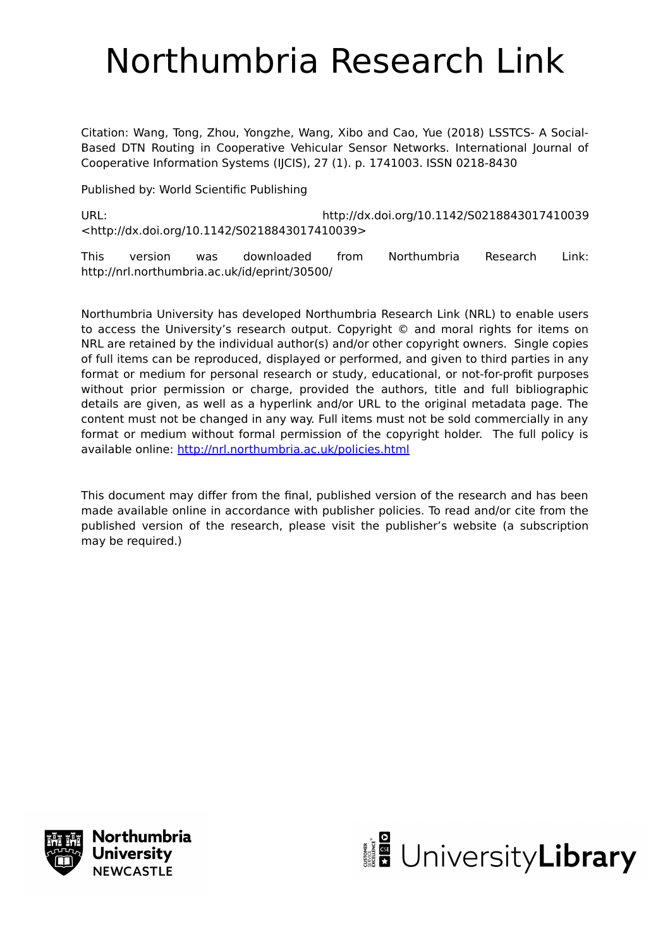# Northumbria Research Link

Citation: Wang, Tong, Zhou, Yongzhe, Wang, Xibo and Cao, Yue (2018) LSSTCS- A Social-Based DTN Routing in Cooperative Vehicular Sensor Networks. International Journal of Cooperative Information Systems (IJCIS), 27 (1). p. 1741003. ISSN 0218-8430

Published by: World Scientific Publishing

URL: http://dx.doi.org/10.1142/S0218843017410039 <http://dx.doi.org/10.1142/S0218843017410039>

This version was downloaded from Northumbria Research Link: http://nrl.northumbria.ac.uk/id/eprint/30500/

Northumbria University has developed Northumbria Research Link (NRL) to enable users to access the University's research output. Copyright © and moral rights for items on NRL are retained by the individual author(s) and/or other copyright owners. Single copies of full items can be reproduced, displayed or performed, and given to third parties in any format or medium for personal research or study, educational, or not-for-profit purposes without prior permission or charge, provided the authors, title and full bibliographic details are given, as well as a hyperlink and/or URL to the original metadata page. The content must not be changed in any way. Full items must not be sold commercially in any format or medium without formal permission of the copyright holder. The full policy is available online:<http://nrl.northumbria.ac.uk/policies.html>

This document may differ from the final, published version of the research and has been made available online in accordance with publisher policies. To read and/or cite from the published version of the research, please visit the publisher's website (a subscription may be required.)



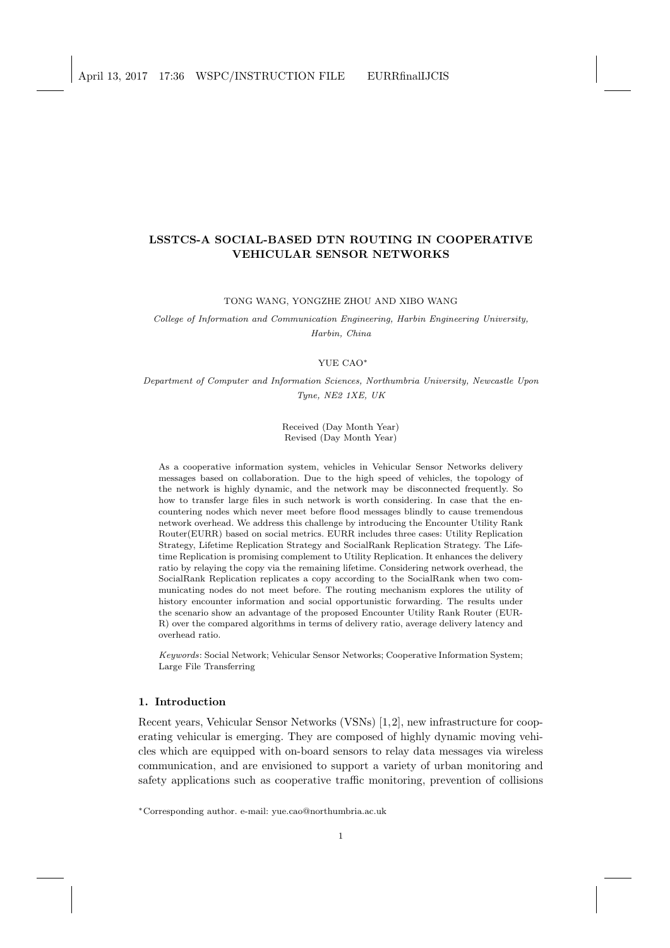## **LSSTCS-A SOCIAL-BASED DTN ROUTING IN COOPERATIVE VEHICULAR SENSOR NETWORKS**

TONG WANG, YONGZHE ZHOU AND XIBO WANG

*College of Information and Communication Engineering, Harbin Engineering University, Harbin, China*

#### YUE CAO*∗*

*Department of Computer and Information Sciences, Northumbria University, Newcastle Upon Tyne, NE2 1XE, UK*

> Received (Day Month Year) Revised (Day Month Year)

As a cooperative information system, vehicles in Vehicular Sensor Networks delivery messages based on collaboration. Due to the high speed of vehicles, the topology of the network is highly dynamic, and the network may be disconnected frequently. So how to transfer large files in such network is worth considering. In case that the encountering nodes which never meet before flood messages blindly to cause tremendous network overhead. We address this challenge by introducing the Encounter Utility Rank Router(EURR) based on social metrics. EURR includes three cases: Utility Replication Strategy, Lifetime Replication Strategy and SocialRank Replication Strategy. The Lifetime Replication is promising complement to Utility Replication. It enhances the delivery ratio by relaying the copy via the remaining lifetime. Considering network overhead, the SocialRank Replication replicates a copy according to the SocialRank when two communicating nodes do not meet before. The routing mechanism explores the utility of history encounter information and social opportunistic forwarding. The results under the scenario show an advantage of the proposed Encounter Utility Rank Router (EUR-R) over the compared algorithms in terms of delivery ratio, average delivery latency and overhead ratio.

*Keywords*: Social Network; Vehicular Sensor Networks; Cooperative Information System; Large File Transferring

## **1. Introduction**

Recent years, Vehicular Sensor Networks (VSNs) [1,2], new infrastructure for cooperating vehicular is emerging. They are composed of highly dynamic moving vehicles which are equipped with on-board sensors to relay data messages via wireless communication, and are envisioned to support a variety of urban monitoring and safety applications such as cooperative traffic monitoring, prevention of collisions

*<sup>∗</sup>*Corresponding author. e-mail: yue.cao@northumbria.ac.uk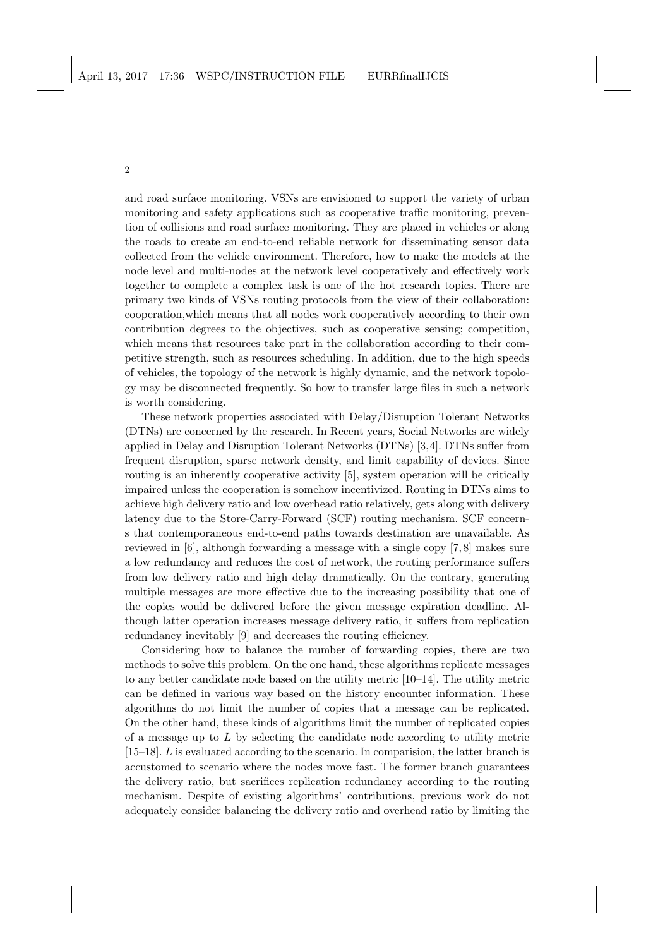and road surface monitoring. VSNs are envisioned to support the variety of urban monitoring and safety applications such as cooperative traffic monitoring, prevention of collisions and road surface monitoring. They are placed in vehicles or along the roads to create an end-to-end reliable network for disseminating sensor data collected from the vehicle environment. Therefore, how to make the models at the node level and multi-nodes at the network level cooperatively and effectively work together to complete a complex task is one of the hot research topics. There are primary two kinds of VSNs routing protocols from the view of their collaboration: cooperation,which means that all nodes work cooperatively according to their own contribution degrees to the objectives, such as cooperative sensing; competition, which means that resources take part in the collaboration according to their competitive strength, such as resources scheduling. In addition, due to the high speeds of vehicles, the topology of the network is highly dynamic, and the network topology may be disconnected frequently. So how to transfer large files in such a network is worth considering.

These network properties associated with Delay/Disruption Tolerant Networks (DTNs) are concerned by the research. In Recent years, Social Networks are widely applied in Delay and Disruption Tolerant Networks (DTNs) [3,4]. DTNs suffer from frequent disruption, sparse network density, and limit capability of devices. Since routing is an inherently cooperative activity [5], system operation will be critically impaired unless the cooperation is somehow incentivized. Routing in DTNs aims to achieve high delivery ratio and low overhead ratio relatively, gets along with delivery latency due to the Store-Carry-Forward (SCF) routing mechanism. SCF concerns that contemporaneous end-to-end paths towards destination are unavailable. As reviewed in [6], although forwarding a message with a single copy [7, 8] makes sure a low redundancy and reduces the cost of network, the routing performance suffers from low delivery ratio and high delay dramatically. On the contrary, generating multiple messages are more effective due to the increasing possibility that one of the copies would be delivered before the given message expiration deadline. Although latter operation increases message delivery ratio, it suffers from replication redundancy inevitably [9] and decreases the routing efficiency.

Considering how to balance the number of forwarding copies, there are two methods to solve this problem. On the one hand, these algorithms replicate messages to any better candidate node based on the utility metric [10–14]. The utility metric can be defined in various way based on the history encounter information. These algorithms do not limit the number of copies that a message can be replicated. On the other hand, these kinds of algorithms limit the number of replicated copies of a message up to *L* by selecting the candidate node according to utility metric [15–18]. *L* is evaluated according to the scenario. In comparision, the latter branch is accustomed to scenario where the nodes move fast. The former branch guarantees the delivery ratio, but sacrifices replication redundancy according to the routing mechanism. Despite of existing algorithms' contributions, previous work do not adequately consider balancing the delivery ratio and overhead ratio by limiting the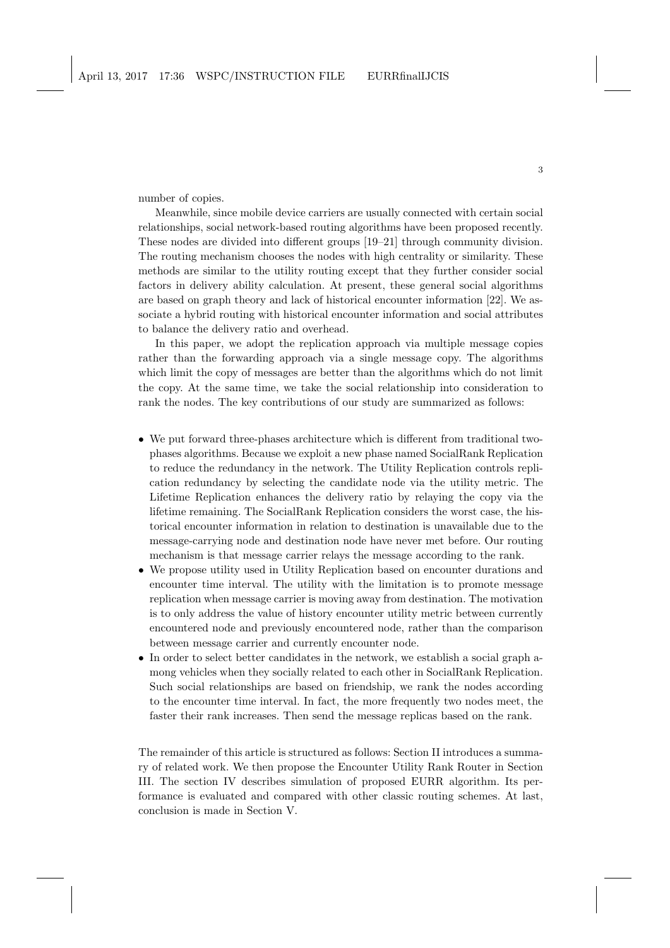number of copies.

Meanwhile, since mobile device carriers are usually connected with certain social relationships, social network-based routing algorithms have been proposed recently. These nodes are divided into different groups [19–21] through community division. The routing mechanism chooses the nodes with high centrality or similarity. These methods are similar to the utility routing except that they further consider social factors in delivery ability calculation. At present, these general social algorithms are based on graph theory and lack of historical encounter information [22]. We associate a hybrid routing with historical encounter information and social attributes to balance the delivery ratio and overhead.

In this paper, we adopt the replication approach via multiple message copies rather than the forwarding approach via a single message copy. The algorithms which limit the copy of messages are better than the algorithms which do not limit the copy. At the same time, we take the social relationship into consideration to rank the nodes. The key contributions of our study are summarized as follows:

- We put forward three-phases architecture which is different from traditional twophases algorithms. Because we exploit a new phase named SocialRank Replication to reduce the redundancy in the network. The Utility Replication controls replication redundancy by selecting the candidate node via the utility metric. The Lifetime Replication enhances the delivery ratio by relaying the copy via the lifetime remaining. The SocialRank Replication considers the worst case, the historical encounter information in relation to destination is unavailable due to the message-carrying node and destination node have never met before. Our routing mechanism is that message carrier relays the message according to the rank.
- We propose utility used in Utility Replication based on encounter durations and encounter time interval. The utility with the limitation is to promote message replication when message carrier is moving away from destination. The motivation is to only address the value of history encounter utility metric between currently encountered node and previously encountered node, rather than the comparison between message carrier and currently encounter node.
- In order to select better candidates in the network, we establish a social graph among vehicles when they socially related to each other in SocialRank Replication. Such social relationships are based on friendship, we rank the nodes according to the encounter time interval. In fact, the more frequently two nodes meet, the faster their rank increases. Then send the message replicas based on the rank.

The remainder of this article is structured as follows: Section II introduces a summary of related work. We then propose the Encounter Utility Rank Router in Section III. The section IV describes simulation of proposed EURR algorithm. Its performance is evaluated and compared with other classic routing schemes. At last, conclusion is made in Section V.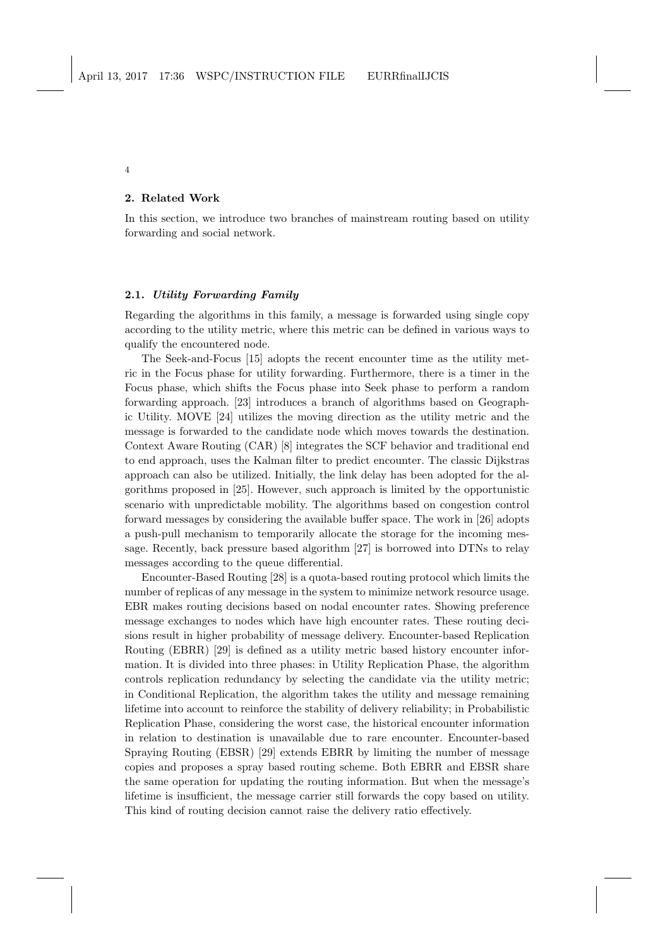#### **2. Related Work**

In this section, we introduce two branches of mainstream routing based on utility forwarding and social network.

#### **2.1.** *Utility Forwarding Family*

Regarding the algorithms in this family, a message is forwarded using single copy according to the utility metric, where this metric can be defined in various ways to qualify the encountered node.

The Seek-and-Focus [15] adopts the recent encounter time as the utility metric in the Focus phase for utility forwarding. Furthermore, there is a timer in the Focus phase, which shifts the Focus phase into Seek phase to perform a random forwarding approach. [23] introduces a branch of algorithms based on Geographic Utility. MOVE [24] utilizes the moving direction as the utility metric and the message is forwarded to the candidate node which moves towards the destination. Context Aware Routing (CAR) [8] integrates the SCF behavior and traditional end to end approach, uses the Kalman filter to predict encounter. The classic Dijkstras approach can also be utilized. Initially, the link delay has been adopted for the algorithms proposed in [25]. However, such approach is limited by the opportunistic scenario with unpredictable mobility. The algorithms based on congestion control forward messages by considering the available buffer space. The work in [26] adopts a push-pull mechanism to temporarily allocate the storage for the incoming message. Recently, back pressure based algorithm [27] is borrowed into DTNs to relay messages according to the queue differential.

Encounter-Based Routing [28] is a quota-based routing protocol which limits the number of replicas of any message in the system to minimize network resource usage. EBR makes routing decisions based on nodal encounter rates. Showing preference message exchanges to nodes which have high encounter rates. These routing decisions result in higher probability of message delivery. Encounter-based Replication Routing (EBRR) [29] is defined as a utility metric based history encounter information. It is divided into three phases: in Utility Replication Phase, the algorithm controls replication redundancy by selecting the candidate via the utility metric; in Conditional Replication, the algorithm takes the utility and message remaining lifetime into account to reinforce the stability of delivery reliability; in Probabilistic Replication Phase, considering the worst case, the historical encounter information in relation to destination is unavailable due to rare encounter. Encounter-based Spraying Routing (EBSR) [29] extends EBRR by limiting the number of message copies and proposes a spray based routing scheme. Both EBRR and EBSR share the same operation for updating the routing information. But when the message's lifetime is insufficient, the message carrier still forwards the copy based on utility. This kind of routing decision cannot raise the delivery ratio effectively.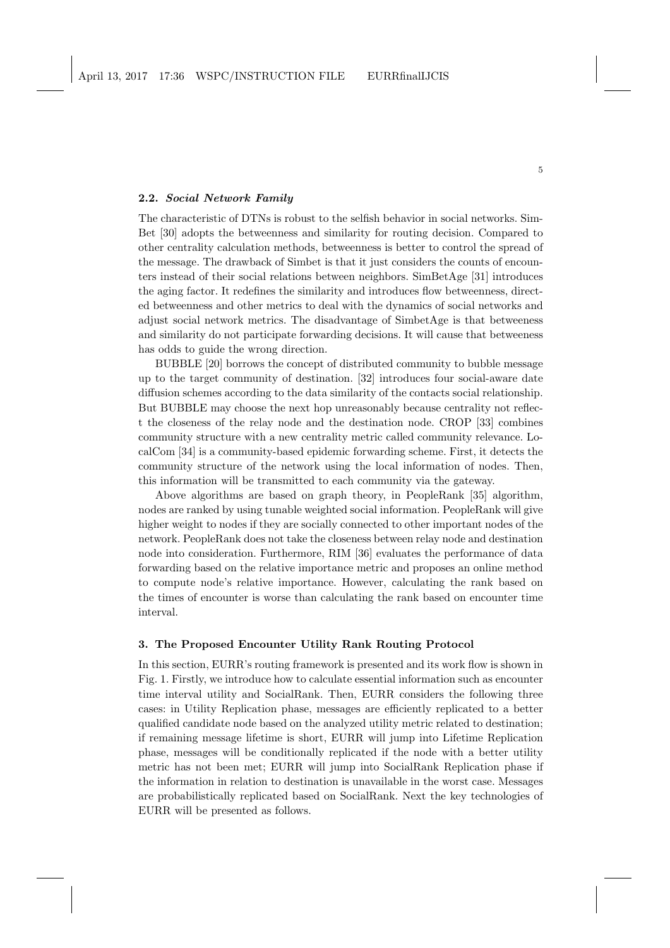#### **2.2.** *Social Network Family*

The characteristic of DTNs is robust to the selfish behavior in social networks. Sim-Bet [30] adopts the betweenness and similarity for routing decision. Compared to other centrality calculation methods, betweenness is better to control the spread of the message. The drawback of Simbet is that it just considers the counts of encounters instead of their social relations between neighbors. SimBetAge [31] introduces the aging factor. It redefines the similarity and introduces flow betweenness, directed betweenness and other metrics to deal with the dynamics of social networks and adjust social network metrics. The disadvantage of SimbetAge is that betweeness and similarity do not participate forwarding decisions. It will cause that betweeness has odds to guide the wrong direction.

BUBBLE [20] borrows the concept of distributed community to bubble message up to the target community of destination. [32] introduces four social-aware date diffusion schemes according to the data similarity of the contacts social relationship. But BUBBLE may choose the next hop unreasonably because centrality not reflect the closeness of the relay node and the destination node. CROP [33] combines community structure with a new centrality metric called community relevance. LocalCom [34] is a community-based epidemic forwarding scheme. First, it detects the community structure of the network using the local information of nodes. Then, this information will be transmitted to each community via the gateway.

Above algorithms are based on graph theory, in PeopleRank [35] algorithm, nodes are ranked by using tunable weighted social information. PeopleRank will give higher weight to nodes if they are socially connected to other important nodes of the network. PeopleRank does not take the closeness between relay node and destination node into consideration. Furthermore, RIM [36] evaluates the performance of data forwarding based on the relative importance metric and proposes an online method to compute node's relative importance. However, calculating the rank based on the times of encounter is worse than calculating the rank based on encounter time interval.

#### **3. The Proposed Encounter Utility Rank Routing Protocol**

In this section, EURR's routing framework is presented and its work flow is shown in Fig. 1. Firstly, we introduce how to calculate essential information such as encounter time interval utility and SocialRank. Then, EURR considers the following three cases: in Utility Replication phase, messages are efficiently replicated to a better qualified candidate node based on the analyzed utility metric related to destination; if remaining message lifetime is short, EURR will jump into Lifetime Replication phase, messages will be conditionally replicated if the node with a better utility metric has not been met; EURR will jump into SocialRank Replication phase if the information in relation to destination is unavailable in the worst case. Messages are probabilistically replicated based on SocialRank. Next the key technologies of EURR will be presented as follows.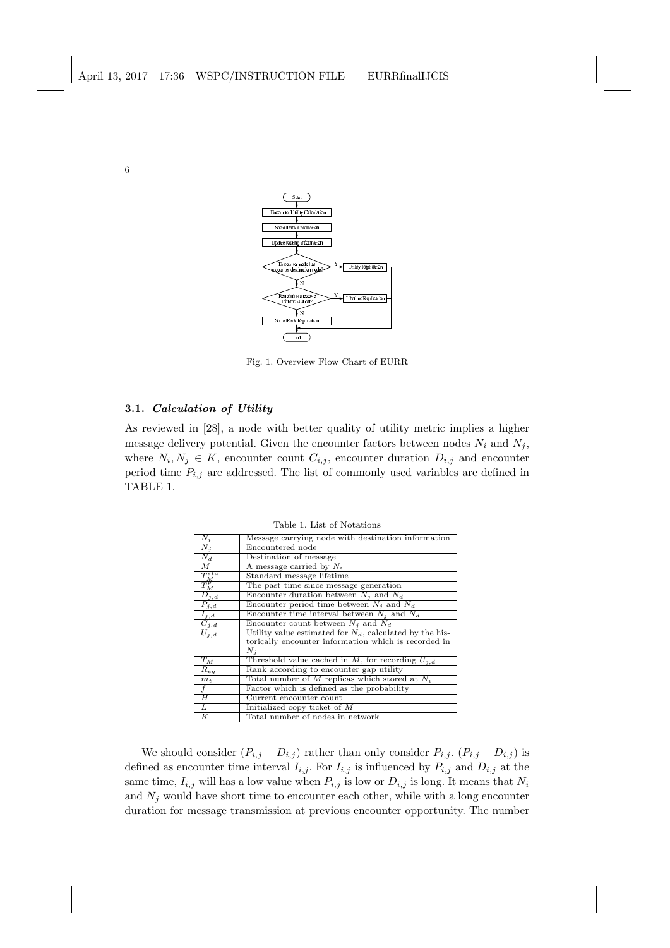

Fig. 1. Overview Flow Chart of EURR

## **3.1.** *Calculation of Utility*

6

As reviewed in [28], a node with better quality of utility metric implies a higher message delivery potential. Given the encounter factors between nodes  $N_i$  and  $N_j$ , where  $N_i, N_j \in K$ , encounter count  $C_{i,j}$ , encounter duration  $D_{i,j}$  and encounter period time  $P_{i,j}$  are addressed. The list of commonly used variables are defined in TABLE 1.

| $N_i$                                  | Message carrying node with destination information         |
|----------------------------------------|------------------------------------------------------------|
| $N_i$                                  | Encountered node                                           |
| $\overline{N}_d$                       | Destination of message                                     |
| М                                      | A message carried by $N_i$                                 |
| $\frac{T_M^{sta}}{T_M^p}$              | Standard message lifetime                                  |
|                                        | The past time since message generation                     |
| $\overrightarrow{D_{\underline{j,d}}}$ | Encounter duration between $N_i$ and $N_d$                 |
| $\overline{P}_{j,d}$                   | Encounter period time between $N_i$ and $N_d$              |
| $I_{j,d}$                              | Encounter time interval between $N_i$ and $N_d$            |
| $C_{j,d}$                              | Encounter count between $N_i$ and $N_d$                    |
| $U_{i,d}$                              | Utility value estimated for $N_d$ , calculated by the his- |
|                                        | torically encounter information which is recorded in       |
|                                        | $N_i$                                                      |
| $T_M$                                  | Threshold value cached in M, for recording $U_{i,d}$       |
| $\overline{R}_{eg}$                    | Rank according to encounter gap utility                    |
| $m_t$                                  | Total number of $M$ replicas which stored at $N_i$         |
| $\mathfrak{f}$                         | Factor which is defined as the probability                 |
| $\overline{H}$                         | Current encounter count                                    |
| L                                      | Initialized copy ticket of $M$                             |
| K                                      | Total number of nodes in network                           |
|                                        |                                                            |

Table 1. List of Notations

We should consider  $(P_{i,j} - D_{i,j})$  rather than only consider  $P_{i,j}$ .  $(P_{i,j} - D_{i,j})$  is defined as encounter time interval  $I_{i,j}$ . For  $I_{i,j}$  is influenced by  $P_{i,j}$  and  $D_{i,j}$  at the same time,  $I_{i,j}$  will has a low value when  $P_{i,j}$  is low or  $D_{i,j}$  is long. It means that  $N_i$ and  $N_j$  would have short time to encounter each other, while with a long encounter duration for message transmission at previous encounter opportunity. The number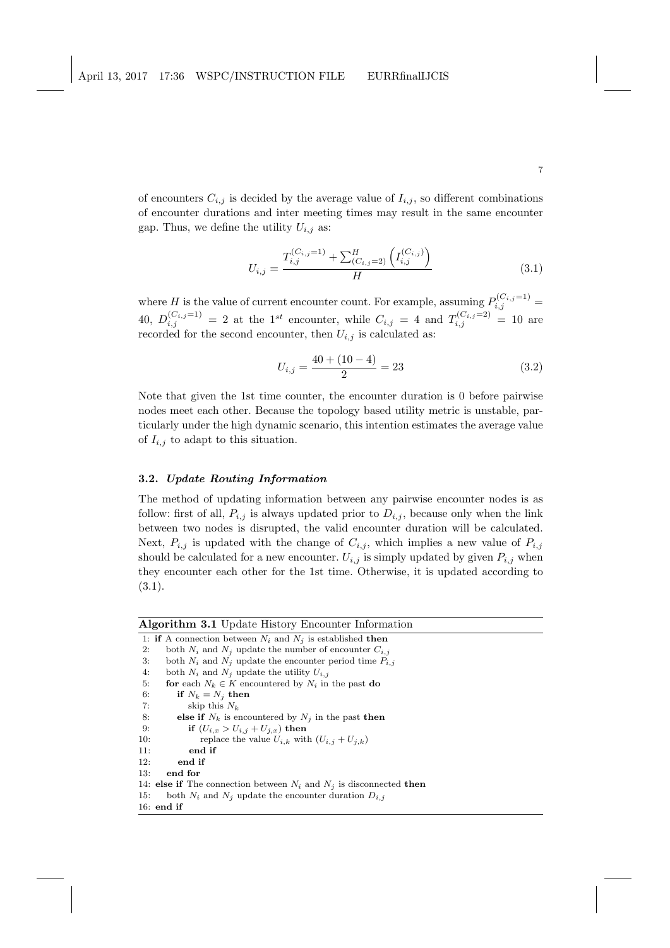of encounters  $C_{i,j}$  is decided by the average value of  $I_{i,j}$ , so different combinations of encounter durations and inter meeting times may result in the same encounter gap. Thus, we define the utility  $U_{i,j}$  as:

$$
U_{i,j} = \frac{T_{i,j}^{(C_{i,j}=1)} + \sum_{(C_{i,j}=2)}^{H} \left( I_{i,j}^{(C_{i,j})} \right)}{H}
$$
(3.1)

where *H* is the value of current encounter count. For example, assuming  $P_{i,j}^{(C_{i,j}=1)}$  $(40, D_{i,j}^{(C_{i,j}=1)}) = 2$  at the 1<sup>st</sup> encounter, while  $C_{i,j} = 4$  and  $T_{i,j}^{(C_{i,j}=2)} = 10$  are recorded for the second encounter, then  $U_{i,j}$  is calculated as:

$$
U_{i,j} = \frac{40 + (10 - 4)}{2} = 23\tag{3.2}
$$

Note that given the 1st time counter, the encounter duration is 0 before pairwise nodes meet each other. Because the topology based utility metric is unstable, particularly under the high dynamic scenario, this intention estimates the average value of  $I_{i,j}$  to adapt to this situation.

## **3.2.** *Update Routing Information*

The method of updating information between any pairwise encounter nodes is as follow: first of all,  $P_{i,j}$  is always updated prior to  $D_{i,j}$ , because only when the link between two nodes is disrupted, the valid encounter duration will be calculated. Next,  $P_{i,j}$  is updated with the change of  $C_{i,j}$ , which implies a new value of  $P_{i,j}$ should be calculated for a new encounter.  $U_{i,j}$  is simply updated by given  $P_{i,j}$  when they encounter each other for the 1st time. Otherwise, it is updated according to (3.1).

**Algorithm 3.1** Update History Encounter Information

|     | 1: if A connection between $N_i$ and $N_j$ is established then          |
|-----|-------------------------------------------------------------------------|
| 2:  | both $N_i$ and $N_j$ update the number of encounter $C_{i,j}$           |
| 3:  | both $N_i$ and $N_j$ update the encounter period time $P_{i,j}$         |
| 4:  | both $N_i$ and $N_j$ update the utility $U_{i,j}$                       |
| 5:  | for each $N_k \in K$ encountered by $N_i$ in the past do                |
| 6:  | if $N_k = N_i$ then                                                     |
| 7:  | skip this $N_k$                                                         |
| 8:  | else if $N_k$ is encountered by $N_i$ in the past then                  |
| -9: | if $(U_{i,x} > U_{i,j} + U_{j,x})$ then                                 |
| 10: | replace the value $U_{i,k}$ with $(U_{i,j} + U_{j,k})$                  |
| 11: | end if                                                                  |
| 12. | end if                                                                  |
| 13: | end for                                                                 |
|     | 14: else if The connection between $N_i$ and $N_j$ is disconnected then |
| 15. | both $N_i$ and $N_j$ update the encounter duration $D_{i,j}$            |
|     | $16:$ end if                                                            |
|     |                                                                         |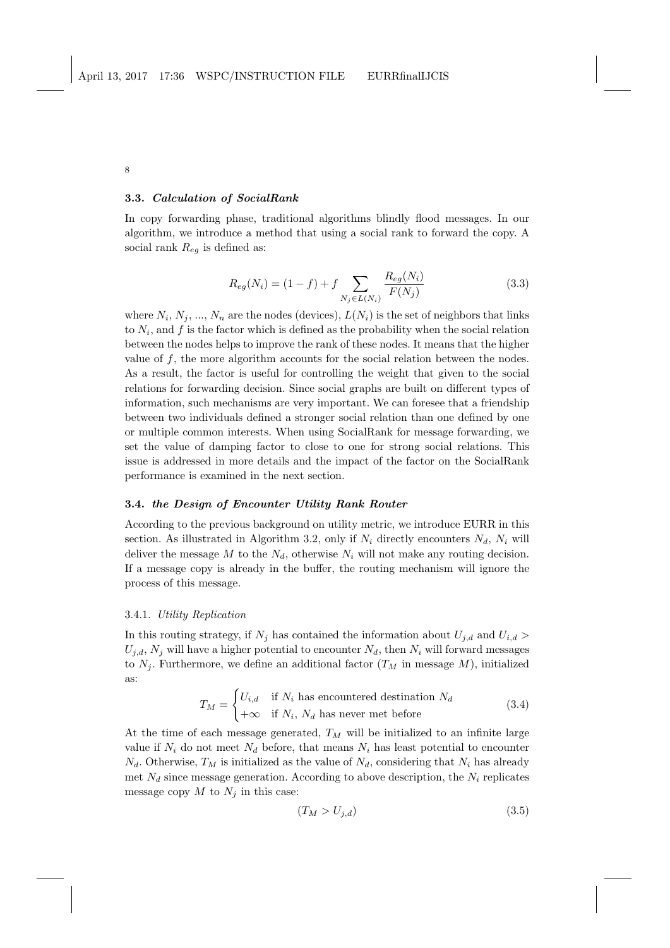#### **3.3.** *Calculation of SocialRank*

In copy forwarding phase, traditional algorithms blindly flood messages. In our algorithm, we introduce a method that using a social rank to forward the copy. A social rank *Reg* is defined as:

$$
R_{eg}(N_i) = (1 - f) + f \sum_{N_j \in L(N_i)} \frac{R_{eg}(N_i)}{F(N_j)}
$$
(3.3)

where  $N_i$ ,  $N_j$ , ...,  $N_n$  are the nodes (devices),  $L(N_i)$  is the set of neighbors that links to  $N_i$ , and  $f$  is the factor which is defined as the probability when the social relation between the nodes helps to improve the rank of these nodes. It means that the higher value of *f*, the more algorithm accounts for the social relation between the nodes. As a result, the factor is useful for controlling the weight that given to the social relations for forwarding decision. Since social graphs are built on different types of information, such mechanisms are very important. We can foresee that a friendship between two individuals defined a stronger social relation than one defined by one or multiple common interests. When using SocialRank for message forwarding, we set the value of damping factor to close to one for strong social relations. This issue is addressed in more details and the impact of the factor on the SocialRank performance is examined in the next section.

#### **3.4.** *the Design of Encounter Utility Rank Router*

According to the previous background on utility metric, we introduce EURR in this section. As illustrated in Algorithm 3.2, only if  $N_i$  directly encounters  $N_d$ ,  $N_i$  will deliver the message  $M$  to the  $N_d$ , otherwise  $N_i$  will not make any routing decision. If a message copy is already in the buffer, the routing mechanism will ignore the process of this message.

#### 3.4.1. *Utility Replication*

In this routing strategy, if  $N_j$  has contained the information about  $U_{j,d}$  and  $U_{i,d}$  $U_{j,d}$ ,  $N_j$  will have a higher potential to encounter  $N_d$ , then  $N_i$  will forward messages to  $N_j$ . Furthermore, we define an additional factor  $(T_M$  in message  $M$ ), initialized as:

$$
T_M = \begin{cases} U_{i,d} & \text{if } N_i \text{ has encountered destination } N_d \\ +\infty & \text{if } N_i, N_d \text{ has never met before} \end{cases}
$$
 (3.4)

At the time of each message generated, *T<sup>M</sup>* will be initialized to an infinite large value if  $N_i$  do not meet  $N_d$  before, that means  $N_i$  has least potential to encounter  $N_d$ . Otherwise,  $T_M$  is initialized as the value of  $N_d$ , considering that  $N_i$  has already met  $N_d$  since message generation. According to above description, the  $N_i$  replicates message copy  $M$  to  $N_j$  in this case:

$$
(T_M > U_{j,d})\tag{3.5}
$$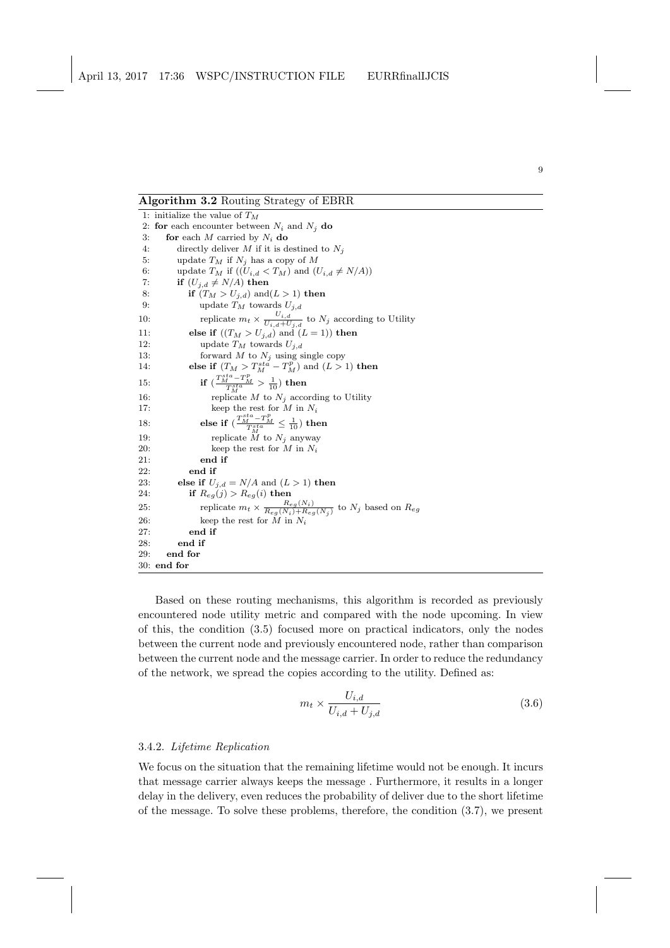**Algorithm 3.2** Routing Strategy of EBRR

1: initialize the value of *T<sup>M</sup>* 2: **for** each encounter between  $N_i$  and  $N_j$  **do** 3: **for** each *M* carried by *N<sup>i</sup>* **do** 4: directly deliver *M* if it is destined to  $N_j$ 5: update *T<sup>M</sup>* if *N<sup>j</sup>* has a copy of *M* 6: update  $T_M$  if  $((U_{i,d} \leq T_M)$  and  $(U_{i,d} \neq N/A))$ <br>7: **if**  $(U_{i,d} \neq N/A)$  then 7: **if**  $(U_{j,d} \neq N/A)$  **then**<br>8: **if**  $(T_M > U_{j,d})$  and **if**  $(T_M > U_{j,d})$  and $(L > 1)$  **then** 9: update  $\tilde{T_M}$  towards  $U_{j,d}$ 10: replicate  $m_t \times \frac{U_{i,d}}{U_{i,d}+U}$  $\frac{U_i, d}{U_i, d+U_j, d}$  to  $N_j$  according to Utility 11: **else if**  $((T_M > U_{j,d})$  and  $(L = 1))$  **then**<br>12: update  $T_M$  towards  $U_{j,d}$ update  $T_M$  towards  $U_{j,d}$ 13: forward *M* to  $N_j$  using single copy<br>14: **else if**  $(T_M > T_{M}^{sta} - T_{M}^p)$  and  $(L >$ 14: **else if**  $(T_M > T_M^{sta} - T_M^p)$  and  $(L > 1)$  **then** 15: **if**  $\left(\frac{T_M^{sta} - T_M^p}{T_M^{sta}} > \frac{1}{10}\right)$  then 16: replicate *M* to  $N_j$  according to Utility 17: keep the rest for  $\overline{M}$  in  $N_i$ 18: **else if**  $\left(\frac{T_M^{sta} - T_M^p}{T_M^{sta}} \le \frac{1}{10}\right)$  then 19: replicate  $\stackrel{m}{M}$  to  $N_j$  anyway<br>20: keep the rest for  $M$  in  $N_i$ 20: keep the rest for  $\overline{M}$  in  $N_i$ <br>21: **end if** end if 22: **end if** 23: **else if**  $U_{j,d} = N/A$  and  $(L > 1)$  **then**<br>24: **if**  $R_{eq}(i) > R_{eq}(i)$  **then** if  $Re(g(j) > Re_g(i)$  then 25: replicate  $m_t \times \frac{R_{eg}(N_i)}{R_{eg}(N_i)+R_{eg}(N_j)}$  to  $N_j$  based on  $R_{eg}$ 26: keep the rest for  $\overline{M}$  in  $N_i$ 27: **end if** 28: **end if** 29: **end for** 30: **end for**

Based on these routing mechanisms, this algorithm is recorded as previously encountered node utility metric and compared with the node upcoming. In view of this, the condition (3.5) focused more on practical indicators, only the nodes between the current node and previously encountered node, rather than comparison between the current node and the message carrier. In order to reduce the redundancy of the network, we spread the copies according to the utility. Defined as:

$$
m_t \times \frac{U_{i,d}}{U_{i,d} + U_{j,d}}\tag{3.6}
$$

#### 3.4.2. *Lifetime Replication*

We focus on the situation that the remaining lifetime would not be enough. It incurs that message carrier always keeps the message . Furthermore, it results in a longer delay in the delivery, even reduces the probability of deliver due to the short lifetime of the message. To solve these problems, therefore, the condition (3.7), we present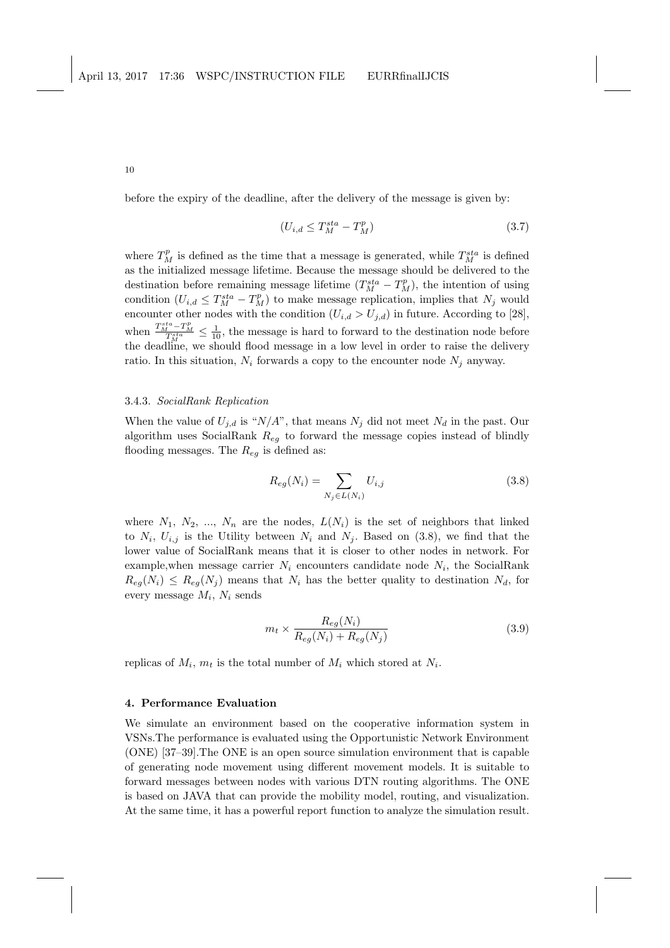before the expiry of the deadline, after the delivery of the message is given by:

$$
(U_{i,d} \le T_M^{sta} - T_M^p) \tag{3.7}
$$

where  $T_M^p$  is defined as the time that a message is generated, while  $T_M^{sta}$  is defined as the initialized message lifetime. Because the message should be delivered to the destination before remaining message lifetime  $(T_M^{sta} - T_M^p)$ , the intention of using condition  $(U_{i,d} \leq T_M^{sta} - T_M^p)$  to make message replication, implies that  $N_j$  would encounter other nodes with the condition  $(U_{i,d} > U_{j,d})$  in future. According to [28], when  $\frac{T_{M}^{stat} - T_{M}^{p}}{T_{M}^{stat}} \leq \frac{1}{10}$ , the message is hard to forward to the destination node before the deadline, we should flood message in a low level in order to raise the delivery ratio. In this situation,  $N_i$  forwards a copy to the encounter node  $N_i$  anyway.

## 3.4.3. *SocialRank Replication*

When the value of  $U_{j,d}$  is " $N/A$ ", that means  $N_j$  did not meet  $N_d$  in the past. Our algorithm uses SocialRank *Reg* to forward the message copies instead of blindly flooding messages. The *Reg* is defined as:

$$
R_{eg}(N_i) = \sum_{N_j \in L(N_i)} U_{i,j}
$$
\n(3.8)

where  $N_1$ ,  $N_2$ , ...,  $N_n$  are the nodes,  $L(N_i)$  is the set of neighbors that linked to  $N_i$ ,  $U_{i,j}$  is the Utility between  $N_i$  and  $N_j$ . Based on (3.8), we find that the lower value of SocialRank means that it is closer to other nodes in network. For example, when message carrier  $N_i$  encounters candidate node  $N_i$ , the SocialRank  $R_{eg}(N_i) \leq R_{eg}(N_j)$  means that  $N_i$  has the better quality to destination  $N_d$ , for every message *M<sup>i</sup>* , *N<sup>i</sup>* sends

$$
m_t \times \frac{R_{eg}(N_i)}{R_{eg}(N_i) + R_{eg}(N_j)}
$$
\n(3.9)

replicas of  $M_i$ ,  $m_t$  is the total number of  $M_i$  which stored at  $N_i$ .

#### **4. Performance Evaluation**

We simulate an environment based on the cooperative information system in VSNs.The performance is evaluated using the Opportunistic Network Environment (ONE) [37–39].The ONE is an open source simulation environment that is capable of generating node movement using different movement models. It is suitable to forward messages between nodes with various DTN routing algorithms. The ONE is based on JAVA that can provide the mobility model, routing, and visualization. At the same time, it has a powerful report function to analyze the simulation result.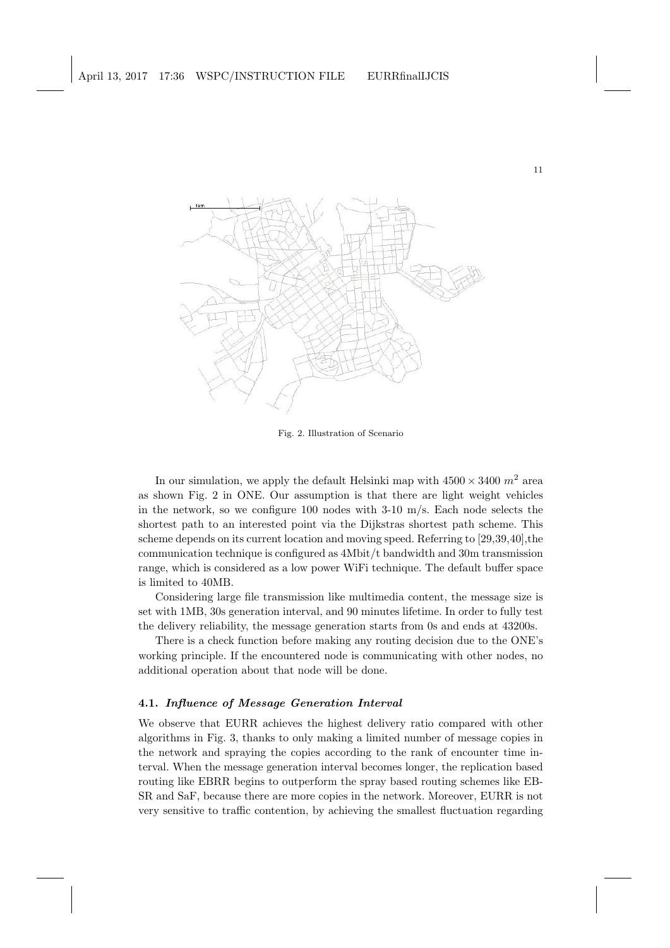

Fig. 2. Illustration of Scenario

In our simulation, we apply the default Helsinki map with  $4500 \times 3400$   $m^2$  area as shown Fig. 2 in ONE. Our assumption is that there are light weight vehicles in the network, so we configure 100 nodes with 3-10 m/s. Each node selects the shortest path to an interested point via the Dijkstras shortest path scheme. This scheme depends on its current location and moving speed. Referring to [29,39,40],the communication technique is configured as 4Mbit/t bandwidth and 30m transmission range, which is considered as a low power WiFi technique. The default buffer space is limited to 40MB.

Considering large file transmission like multimedia content, the message size is set with 1MB, 30s generation interval, and 90 minutes lifetime. In order to fully test the delivery reliability, the message generation starts from 0s and ends at 43200s.

There is a check function before making any routing decision due to the ONE's working principle. If the encountered node is communicating with other nodes, no additional operation about that node will be done.

## **4.1.** *Influence of Message Generation Interval*

We observe that EURR achieves the highest delivery ratio compared with other algorithms in Fig. 3, thanks to only making a limited number of message copies in the network and spraying the copies according to the rank of encounter time interval. When the message generation interval becomes longer, the replication based routing like EBRR begins to outperform the spray based routing schemes like EB-SR and SaF, because there are more copies in the network. Moreover, EURR is not very sensitive to traffic contention, by achieving the smallest fluctuation regarding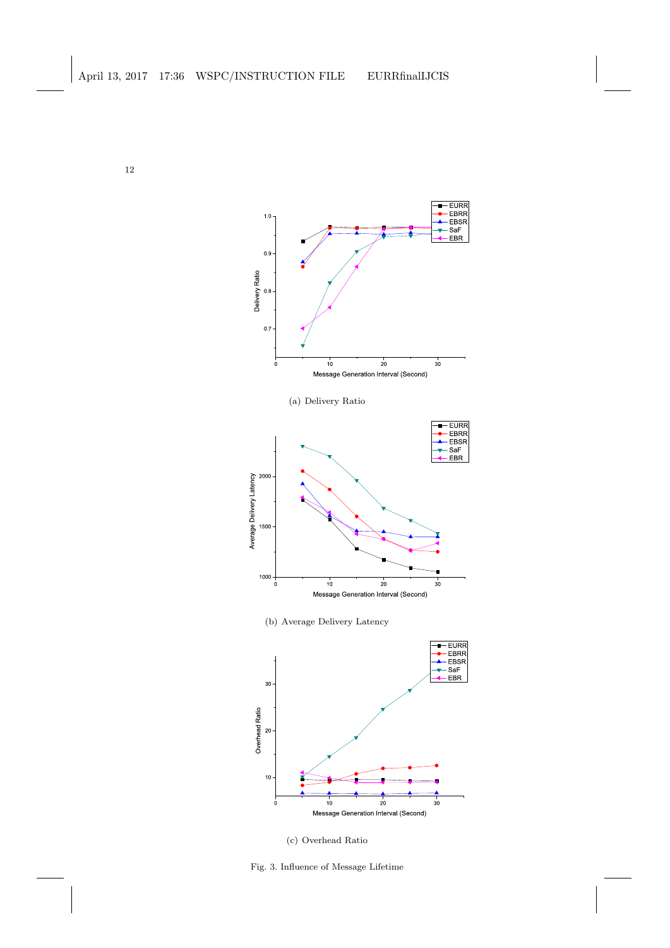

(c) Overhead Ratio

Fig. 3. Influence of Message Lifetime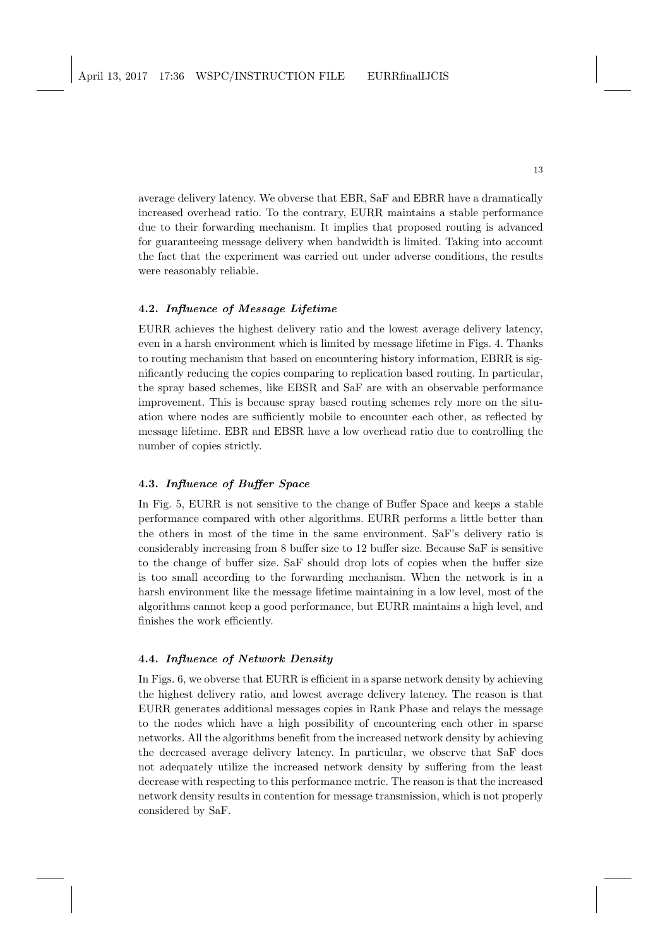average delivery latency. We obverse that EBR, SaF and EBRR have a dramatically increased overhead ratio. To the contrary, EURR maintains a stable performance due to their forwarding mechanism. It implies that proposed routing is advanced for guaranteeing message delivery when bandwidth is limited. Taking into account the fact that the experiment was carried out under adverse conditions, the results were reasonably reliable.

## **4.2.** *Influence of Message Lifetime*

EURR achieves the highest delivery ratio and the lowest average delivery latency, even in a harsh environment which is limited by message lifetime in Figs. 4. Thanks to routing mechanism that based on encountering history information, EBRR is significantly reducing the copies comparing to replication based routing. In particular, the spray based schemes, like EBSR and SaF are with an observable performance improvement. This is because spray based routing schemes rely more on the situation where nodes are sufficiently mobile to encounter each other, as reflected by message lifetime. EBR and EBSR have a low overhead ratio due to controlling the number of copies strictly.

## **4.3.** *Influence of Buffer Space*

In Fig. 5, EURR is not sensitive to the change of Buffer Space and keeps a stable performance compared with other algorithms. EURR performs a little better than the others in most of the time in the same environment. SaF's delivery ratio is considerably increasing from 8 buffer size to 12 buffer size. Because SaF is sensitive to the change of buffer size. SaF should drop lots of copies when the buffer size is too small according to the forwarding mechanism. When the network is in a harsh environment like the message lifetime maintaining in a low level, most of the algorithms cannot keep a good performance, but EURR maintains a high level, and finishes the work efficiently.

## **4.4.** *Influence of Network Density*

In Figs. 6, we obverse that EURR is efficient in a sparse network density by achieving the highest delivery ratio, and lowest average delivery latency. The reason is that EURR generates additional messages copies in Rank Phase and relays the message to the nodes which have a high possibility of encountering each other in sparse networks. All the algorithms benefit from the increased network density by achieving the decreased average delivery latency. In particular, we observe that SaF does not adequately utilize the increased network density by suffering from the least decrease with respecting to this performance metric. The reason is that the increased network density results in contention for message transmission, which is not properly considered by SaF.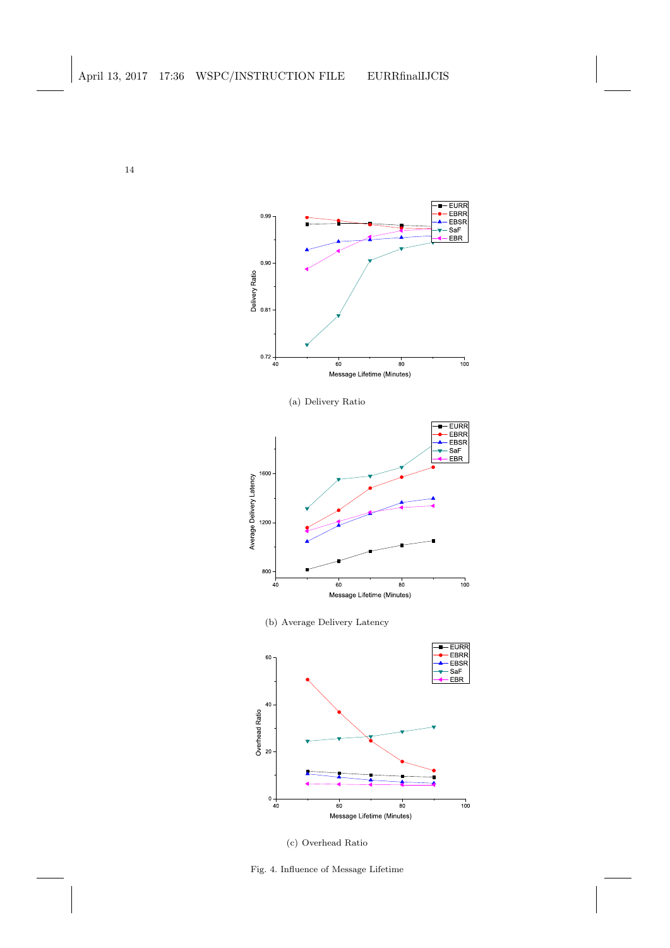

(c) Overhead Ratio

Fig. 4. Influence of Message Lifetime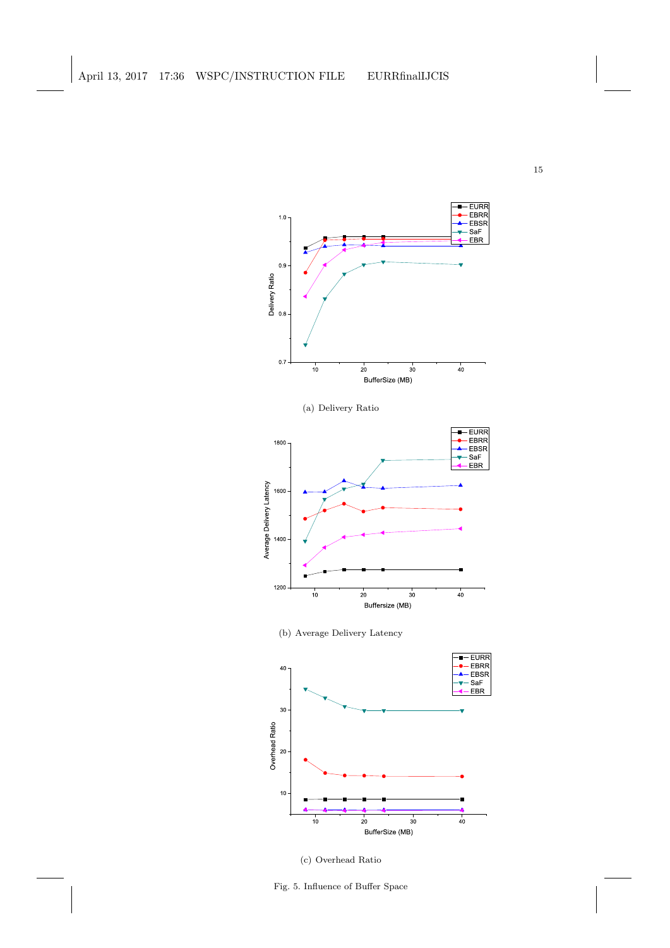

(a) Delivery Ratio



(b) Average Delivery Latency



(c) Overhead Ratio

Fig. 5. Influence of Buffer Space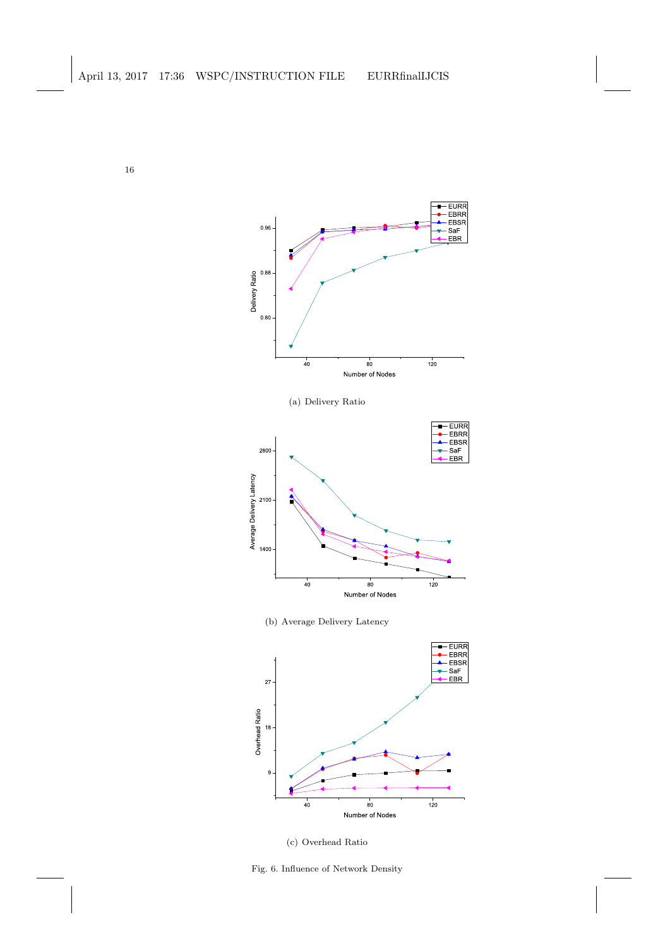

(c) Overhead Ratio

Fig. 6. Influence of Network Density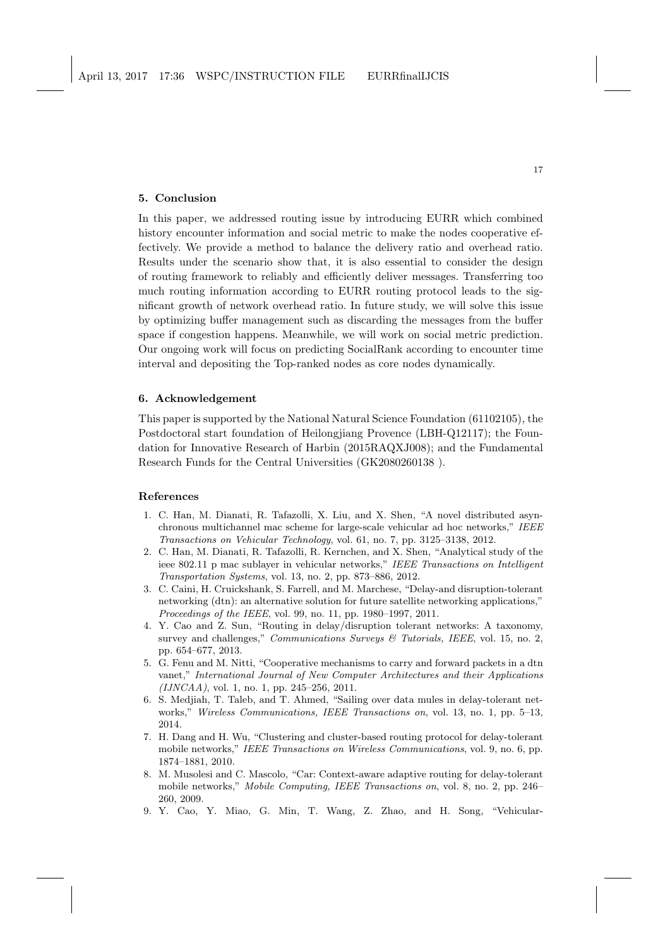#### **5. Conclusion**

In this paper, we addressed routing issue by introducing EURR which combined history encounter information and social metric to make the nodes cooperative effectively. We provide a method to balance the delivery ratio and overhead ratio. Results under the scenario show that, it is also essential to consider the design of routing framework to reliably and efficiently deliver messages. Transferring too much routing information according to EURR routing protocol leads to the significant growth of network overhead ratio. In future study, we will solve this issue by optimizing buffer management such as discarding the messages from the buffer space if congestion happens. Meanwhile, we will work on social metric prediction. Our ongoing work will focus on predicting SocialRank according to encounter time interval and depositing the Top-ranked nodes as core nodes dynamically.

#### **6. Acknowledgement**

This paper is supported by the National Natural Science Foundation (61102105), the Postdoctoral start foundation of Heilongjiang Provence (LBH-Q12117); the Foundation for Innovative Research of Harbin (2015RAQXJ008); and the Fundamental Research Funds for the Central Universities (GK2080260138 ).

#### **References**

- 1. C. Han, M. Dianati, R. Tafazolli, X. Liu, and X. Shen, "A novel distributed asynchronous multichannel mac scheme for large-scale vehicular ad hoc networks," *IEEE Transactions on Vehicular Technology*, vol. 61, no. 7, pp. 3125–3138, 2012.
- 2. C. Han, M. Dianati, R. Tafazolli, R. Kernchen, and X. Shen, "Analytical study of the ieee 802.11 p mac sublayer in vehicular networks," *IEEE Transactions on Intelligent Transportation Systems*, vol. 13, no. 2, pp. 873–886, 2012.
- 3. C. Caini, H. Cruickshank, S. Farrell, and M. Marchese, "Delay-and disruption-tolerant networking (dtn): an alternative solution for future satellite networking applications," *Proceedings of the IEEE*, vol. 99, no. 11, pp. 1980–1997, 2011.
- 4. Y. Cao and Z. Sun, "Routing in delay/disruption tolerant networks: A taxonomy, survey and challenges," *Communications Surveys & Tutorials, IEEE*, vol. 15, no. 2, pp. 654–677, 2013.
- 5. G. Fenu and M. Nitti, "Cooperative mechanisms to carry and forward packets in a dtn vanet," *International Journal of New Computer Architectures and their Applications (IJNCAA)*, vol. 1, no. 1, pp. 245–256, 2011.
- 6. S. Medjiah, T. Taleb, and T. Ahmed, "Sailing over data mules in delay-tolerant networks," *Wireless Communications, IEEE Transactions on*, vol. 13, no. 1, pp. 5–13, 2014.
- 7. H. Dang and H. Wu, "Clustering and cluster-based routing protocol for delay-tolerant mobile networks," *IEEE Transactions on Wireless Communications*, vol. 9, no. 6, pp. 1874–1881, 2010.
- 8. M. Musolesi and C. Mascolo, "Car: Context-aware adaptive routing for delay-tolerant mobile networks," *Mobile Computing, IEEE Transactions on*, vol. 8, no. 2, pp. 246– 260, 2009.
- 9. Y. Cao, Y. Miao, G. Min, T. Wang, Z. Zhao, and H. Song, "Vehicular-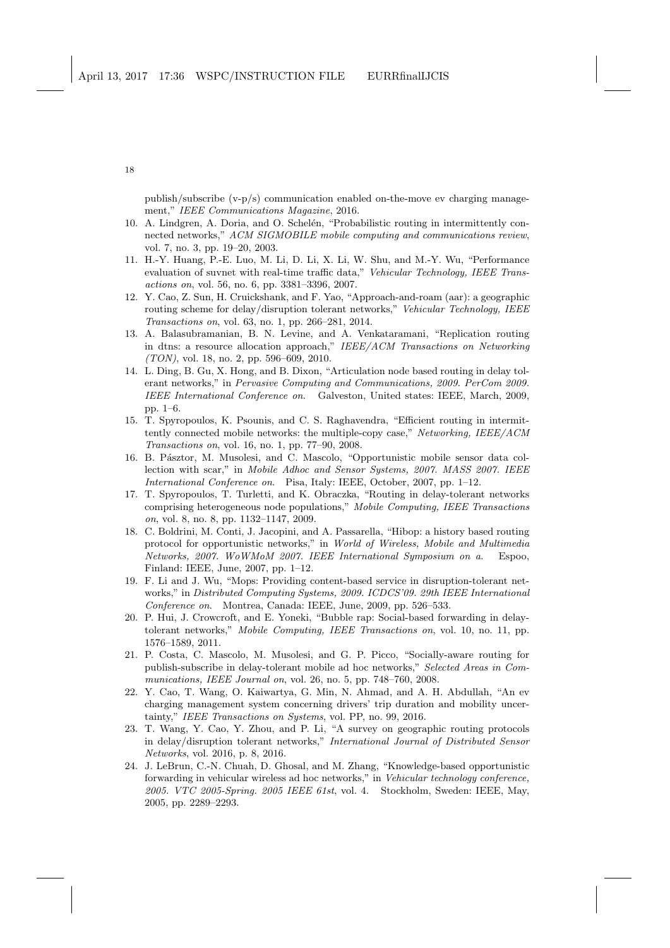publish/subscribe (v-p/s) communication enabled on-the-move ev charging management," *IEEE Communications Magazine*, 2016.

- 10. A. Lindgren, A. Doria, and O. Schelén, "Probabilistic routing in intermittently connected networks," *ACM SIGMOBILE mobile computing and communications review*, vol. 7, no. 3, pp. 19–20, 2003.
- 11. H.-Y. Huang, P.-E. Luo, M. Li, D. Li, X. Li, W. Shu, and M.-Y. Wu, "Performance evaluation of suvnet with real-time traffic data," *Vehicular Technology, IEEE Transactions on*, vol. 56, no. 6, pp. 3381–3396, 2007.
- 12. Y. Cao, Z. Sun, H. Cruickshank, and F. Yao, "Approach-and-roam (aar): a geographic routing scheme for delay/disruption tolerant networks," *Vehicular Technology, IEEE Transactions on*, vol. 63, no. 1, pp. 266–281, 2014.
- 13. A. Balasubramanian, B. N. Levine, and A. Venkataramani, "Replication routing in dtns: a resource allocation approach," *IEEE/ACM Transactions on Networking (TON)*, vol. 18, no. 2, pp. 596–609, 2010.
- 14. L. Ding, B. Gu, X. Hong, and B. Dixon, "Articulation node based routing in delay tolerant networks," in *Pervasive Computing and Communications, 2009. PerCom 2009. IEEE International Conference on*. Galveston, United states: IEEE, March, 2009, pp. 1–6.
- 15. T. Spyropoulos, K. Psounis, and C. S. Raghavendra, "Efficient routing in intermittently connected mobile networks: the multiple-copy case," *Networking, IEEE/ACM Transactions on*, vol. 16, no. 1, pp. 77–90, 2008.
- 16. B. Pásztor, M. Musolesi, and C. Mascolo, "Opportunistic mobile sensor data collection with scar," in *Mobile Adhoc and Sensor Systems, 2007. MASS 2007. IEEE International Conference on*. Pisa, Italy: IEEE, October, 2007, pp. 1–12.
- 17. T. Spyropoulos, T. Turletti, and K. Obraczka, "Routing in delay-tolerant networks comprising heterogeneous node populations," *Mobile Computing, IEEE Transactions on*, vol. 8, no. 8, pp. 1132–1147, 2009.
- 18. C. Boldrini, M. Conti, J. Jacopini, and A. Passarella, "Hibop: a history based routing protocol for opportunistic networks," in *World of Wireless, Mobile and Multimedia Networks, 2007. WoWMoM 2007. IEEE International Symposium on a*. Espoo, Finland: IEEE, June, 2007, pp. 1–12.
- 19. F. Li and J. Wu, "Mops: Providing content-based service in disruption-tolerant networks," in *Distributed Computing Systems, 2009. ICDCS'09. 29th IEEE International Conference on*. Montrea, Canada: IEEE, June, 2009, pp. 526–533.
- 20. P. Hui, J. Crowcroft, and E. Yoneki, "Bubble rap: Social-based forwarding in delaytolerant networks," *Mobile Computing, IEEE Transactions on*, vol. 10, no. 11, pp. 1576–1589, 2011.
- 21. P. Costa, C. Mascolo, M. Musolesi, and G. P. Picco, "Socially-aware routing for publish-subscribe in delay-tolerant mobile ad hoc networks," *Selected Areas in Communications, IEEE Journal on*, vol. 26, no. 5, pp. 748–760, 2008.
- 22. Y. Cao, T. Wang, O. Kaiwartya, G. Min, N. Ahmad, and A. H. Abdullah, "An ev charging management system concerning drivers' trip duration and mobility uncertainty," *IEEE Transactions on Systems*, vol. PP, no. 99, 2016.
- 23. T. Wang, Y. Cao, Y. Zhou, and P. Li, "A survey on geographic routing protocols in delay/disruption tolerant networks," *International Journal of Distributed Sensor Networks*, vol. 2016, p. 8, 2016.
- 24. J. LeBrun, C.-N. Chuah, D. Ghosal, and M. Zhang, "Knowledge-based opportunistic forwarding in vehicular wireless ad hoc networks," in *Vehicular technology conference, 2005. VTC 2005-Spring. 2005 IEEE 61st*, vol. 4. Stockholm, Sweden: IEEE, May, 2005, pp. 2289–2293.